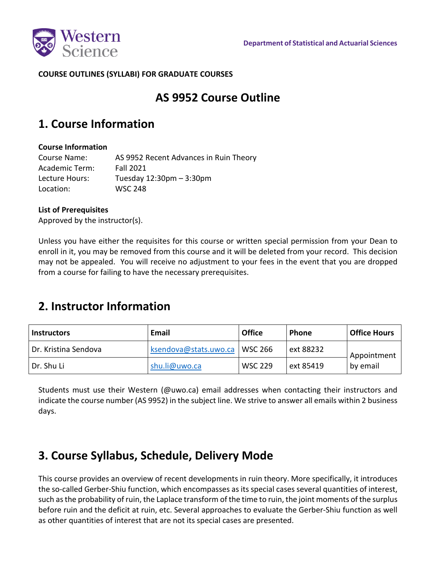

### **COURSE OUTLINES (SYLLABI) FOR GRADUATE COURSES**

## **AS 9952 Course Outline**

## **1. Course Information**

### **Course Information**

Course Name: AS 9952 Recent Advances in Ruin Theory Academic Term: Fall 2021 Lecture Hours: Tuesday 12:30pm – 3:30pm Location: WSC 248

### **List of Prerequisites**

Approved by the instructor(s).

Unless you have either the requisites for this course or written special permission from your Dean to enroll in it, you may be removed from this course and it will be deleted from your record. This decision may not be appealed. You will receive no adjustment to your fees in the event that you are dropped from a course for failing to have the necessary prerequisites.

## **2. Instructor Information**

| <b>Instructors</b>   | Email                 | <b>Office</b>  | <b>Phone</b> | <b>Office Hours</b>     |
|----------------------|-----------------------|----------------|--------------|-------------------------|
| Dr. Kristina Sendova | ksendova@stats.uwo.ca | <b>WSC 266</b> | ext 88232    | Appointment<br>by email |
| l Dr. Shu Li         | shu.li@uwo.ca         | <b>WSC 229</b> | ext 85419    |                         |

Students must use their Western (@uwo.ca) email addresses when contacting their instructors and indicate the course number (AS 9952) in the subject line. We strive to answer all emails within 2 business days.

## **3. Course Syllabus, Schedule, Delivery Mode**

This course provides an overview of recent developments in ruin theory. More specifically, it introduces the so-called Gerber-Shiu function, which encompasses as its special cases several quantities of interest, such asthe probability ofruin, the Laplace transform of the time to ruin, the joint moments of the surplus before ruin and the deficit at ruin, etc. Several approaches to evaluate the Gerber-Shiu function as well as other quantities of interest that are not its special cases are presented.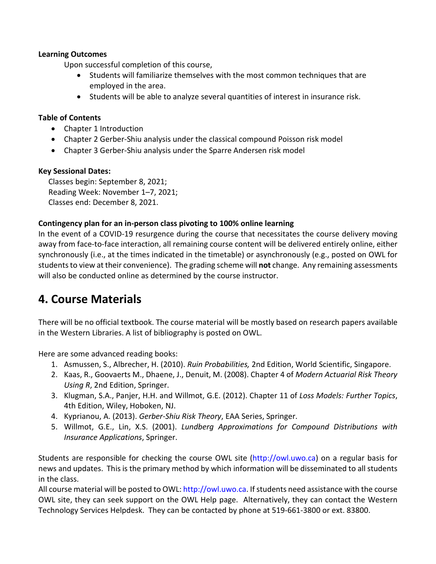### **Learning Outcomes**

Upon successful completion of this course,

- Students will familiarize themselves with the most common techniques that are employed in the area.
- Students will be able to analyze several quantities of interest in insurance risk.

### **Table of Contents**

- Chapter 1 Introduction
- Chapter 2 Gerber-Shiu analysis under the classical compound Poisson risk model
- Chapter 3 Gerber-Shiu analysis under the Sparre Andersen risk model

### **Key Sessional Dates:**

Classes begin: September 8, 2021; Reading Week: November 1–7, 2021; Classes end: December 8, 2021.

### **Contingency plan for an in-person class pivoting to 100% online learning**

In the event of a COVID-19 resurgence during the course that necessitates the course delivery moving away from face-to-face interaction, all remaining course content will be delivered entirely online, either synchronously (i.e., at the times indicated in the timetable) or asynchronously (e.g., posted on OWL for students to view at their convenience). The grading scheme will **not** change. Any remaining assessments will also be conducted online as determined by the course instructor.

## **4. Course Materials**

There will be no official textbook. The course material will be mostly based on research papers available in the Western Libraries. A list of bibliography is posted on OWL.

Here are some advanced reading books:

- 1. Asmussen, S., Albrecher, H. (2010). *Ruin Probabilities,* 2nd Edition, World Scientific, Singapore.
- 2. Kaas, R., Goovaerts M., Dhaene, J., Denuit, M. (2008). Chapter 4 of *Modern Actuarial Risk Theory Using R*, 2nd Edition, Springer.
- 3. Klugman, S.A., Panjer, H.H. and Willmot, G.E. (2012). Chapter 11 of *Loss Models: Further Topics*, 4th Edition, Wiley, Hoboken, NJ.
- 4. Kyprianou, A. (2013). *Gerber-Shiu Risk Theory*, EAA Series, Springer.
- 5. Willmot, G.E., Lin, X.S. (2001). *Lundberg Approximations for Compound Distributions with Insurance Applications*, Springer.

Students are responsible for checking the course OWL site (http://owl.uwo.ca) on a regular basis for news and updates. This is the primary method by which information will be disseminated to all students in the class.

All course material will be posted to OWL: http://owl.uwo.ca. If students need assistance with the course OWL site, they can seek support on the OWL Help page. Alternatively, they can contact the Western Technology Services Helpdesk. They can be contacted by phone at 519-661-3800 or ext. 83800.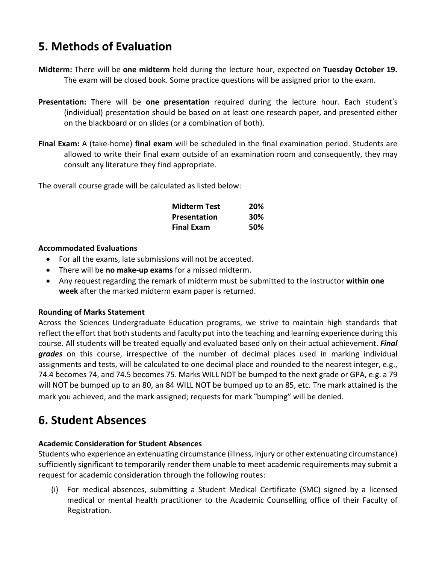# **5. Methods of Evaluation**

- **Midterm:** There will be **one midterm** held during the lecture hour, expected on **Tuesday October 19.** The exam will be closed book. Some practice questions will be assigned prior to the exam.
- **Presentation:** There will be **one presentation** required during the lecture hour. Each student's (individual) presentation should be based on at least one research paper, and presented either on the blackboard or on slides (or a combination of both).
- **Final Exam:** A (take-home) **final exam** will be scheduled in the final examination period. Students are allowed to write their final exam outside of an examination room and consequently, they may consult any literature they find appropriate.

The overall course grade will be calculated as listed below:

| <b>Midterm Test</b> | 20% |
|---------------------|-----|
| <b>Presentation</b> | 30% |
| <b>Final Exam</b>   | 50% |

### **Accommodated Evaluations**

- For all the exams, late submissions will not be accepted.
- There will be **no make-up exams** for a missed midterm.
- Any request regarding the remark of midterm must be submitted to the instructor **within one week** after the marked midterm exam paper is returned.

### **Rounding of Marks Statement**

Across the Sciences Undergraduate Education programs, we strive to maintain high standards that reflect the effort that both students and faculty put into the teaching and learning experience during this course. All students will be treated equally and evaluated based only on their actual achievement. *Final grades* on this course, irrespective of the number of decimal places used in marking individual assignments and tests, will be calculated to one decimal place and rounded to the nearest integer, e.g., 74.4 becomes 74, and 74.5 becomes 75. Marks WILL NOT be bumped to the next grade or GPA, e.g. a 79 will NOT be bumped up to an 80, an 84 WILL NOT be bumped up to an 85, etc. The mark attained is the mark you achieved, and the mark assigned; requests for mark "bumping" will be denied.

## **6. Student Absences**

### **Academic Consideration for Student Absences**

Students who experience an extenuating circumstance (illness, injury or other extenuating circumstance) sufficiently significant to temporarily render them unable to meet academic requirements may submit a request for academic consideration through the following routes:

(i) For medical absences, submitting a Student Medical Certificate (SMC) signed by a licensed medical or mental health practitioner to the Academic Counselling office of their Faculty of Registration.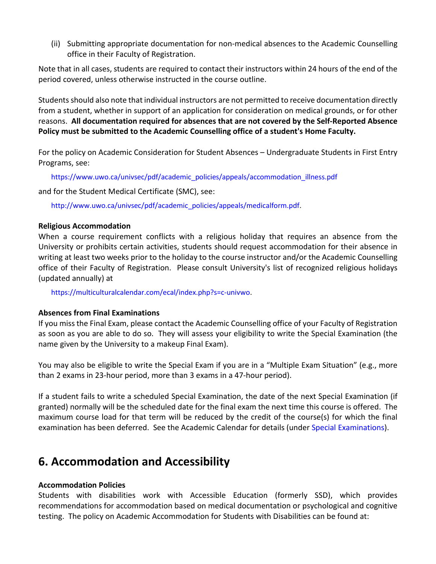(ii) Submitting appropriate documentation for non-medical absences to the Academic Counselling office in their Faculty of Registration.

Note that in all cases, students are required to contact their instructors within 24 hours of the end of the period covered, unless otherwise instructed in the course outline.

Students should also note that individual instructors are not permitted to receive documentation directly from a student, whether in support of an application for consideration on medical grounds, or for other reasons. **All documentation required for absences that are not covered by the Self-Reported Absence Policy must be submitted to the Academic Counselling office of a student's Home Faculty.**

For the policy on Academic Consideration for Student Absences – Undergraduate Students in First Entry Programs, see:

https://www.uwo.ca/univsec/pdf/academic\_policies/appeals/accommodation\_illness.pdf

and for the Student Medical Certificate (SMC), see:

http://www.uwo.ca/univsec/pdf/academic\_policies/appeals/medicalform.pdf.

#### **Religious Accommodation**

When a course requirement conflicts with a religious holiday that requires an absence from the University or prohibits certain activities, students should request accommodation for their absence in writing at least two weeks prior to the holiday to the course instructor and/or the Academic Counselling office of their Faculty of Registration. Please consult University's list of recognized religious holidays (updated annually) at

https://multiculturalcalendar.com/ecal/index.php?s=c-univwo.

### **Absences from Final Examinations**

If you miss the Final Exam, please contact the Academic Counselling office of your Faculty of Registration as soon as you are able to do so. They will assess your eligibility to write the Special Examination (the name given by the University to a makeup Final Exam).

You may also be eligible to write the Special Exam if you are in a "Multiple Exam Situation" (e.g., more than 2 exams in 23-hour period, more than 3 exams in a 47-hour period).

If a student fails to write a scheduled Special Examination, the date of the next Special Examination (if granted) normally will be the scheduled date for the final exam the next time this course is offered. The maximum course load for that term will be reduced by the credit of the course(s) for which the final examination has been deferred. See the Academic Calendar for details (under Special Examinations).

## **6. Accommodation and Accessibility**

### **Accommodation Policies**

Students with disabilities work with Accessible Education (formerly SSD), which provides recommendations for accommodation based on medical documentation or psychological and cognitive testing. The policy on Academic Accommodation for Students with Disabilities can be found at: